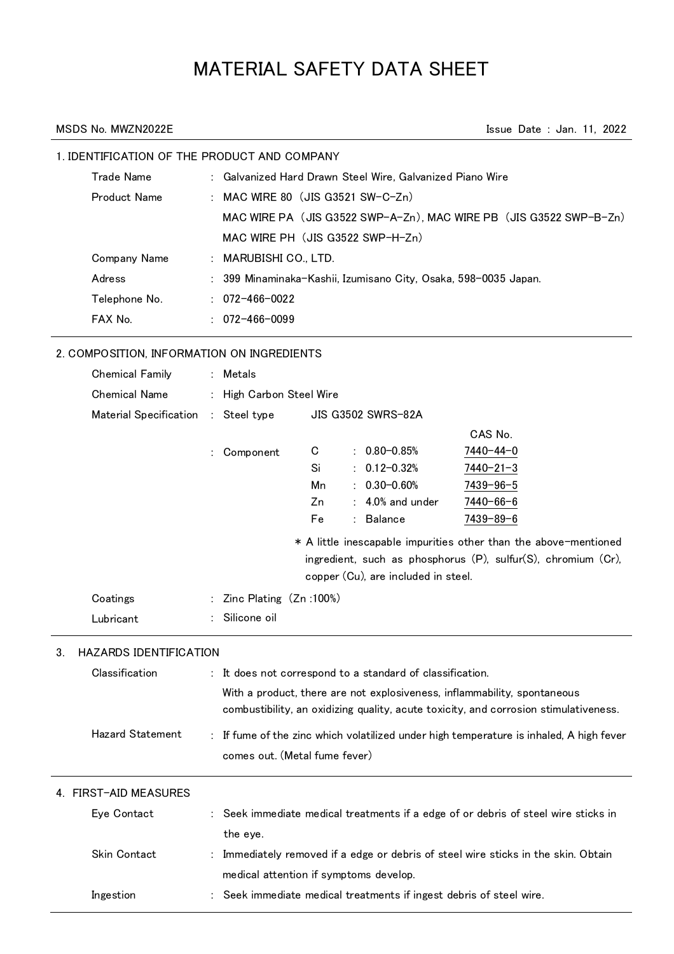# MATERIAL SAFETY DATA SHEET

MSDS No. MWZN2022E **Issue Date : Jan. 11, 2022** 

# 1. IDENTIFICATION OF THE PRODUCT AND COMPANY

| <b>Trade Name</b>   | : Galvanized Hard Drawn Steel Wire, Galvanized Piano Wire          |
|---------------------|--------------------------------------------------------------------|
| <b>Product Name</b> | : MAC WIRE 80 $(JIS G3521 SW-C-Zn)$                                |
|                     | MAC WIRE PA (JIS G3522 SWP-A-Zn), MAC WIRE PB (JIS G3522 SWP-B-Zn) |
|                     | MAC WIRE PH (JIS G3522 SWP-H-Zn)                                   |
| Company Name        | : MARUBISHI CO., LTD.                                              |
| Adress              | : 399 Minaminaka-Kashii, Izumisano City, Osaka, 598-0035 Japan.    |
| Telephone No.       | $: 072 - 466 - 0022$                                               |
| FAX No.             | $: 072 - 466 - 0099$                                               |

# 2. COMPOSITION, INFORMATION ON INGREDIENTS

|    | <b>Chemical Family</b>  | Metals                                 |               |  |                                                           |                                                                                                                                                                  |  |  |
|----|-------------------------|----------------------------------------|---------------|--|-----------------------------------------------------------|------------------------------------------------------------------------------------------------------------------------------------------------------------------|--|--|
|    | <b>Chemical Name</b>    | High Carbon Steel Wire                 |               |  |                                                           |                                                                                                                                                                  |  |  |
|    | Material Specification  | : Steel type                           |               |  | <b>JIS G3502 SWRS-82A</b>                                 |                                                                                                                                                                  |  |  |
|    |                         |                                        |               |  |                                                           | CAS No.                                                                                                                                                          |  |  |
|    |                         | Component                              | C<br>Si<br>Mn |  | $: 0.80 - 0.85%$<br>$: 0.12 - 0.32%$<br>$0.30 - 0.60%$    | 7440-44-0<br>$7440 - 21 - 3$<br>7439-96-5                                                                                                                        |  |  |
|    |                         |                                        | Zn            |  | 4.0% and under                                            | 7440-66-6                                                                                                                                                        |  |  |
|    |                         |                                        | Fe            |  | Balance                                                   | 7439-89-6                                                                                                                                                        |  |  |
|    |                         |                                        |               |  | copper (Cu), are included in steel.                       | * A little inescapable impurities other than the above-mentioned<br>ingredient, such as phosphorus (P), sulfur(S), chromium (Cr),                                |  |  |
|    | Coatings                | Zinc Plating (Zn:100%)                 |               |  |                                                           |                                                                                                                                                                  |  |  |
|    | Lubricant               | Silicone oil                           |               |  |                                                           |                                                                                                                                                                  |  |  |
| 3. | HAZARDS IDENTIFICATION  |                                        |               |  |                                                           |                                                                                                                                                                  |  |  |
|    | Classification          |                                        |               |  | : It does not correspond to a standard of classification. |                                                                                                                                                                  |  |  |
|    |                         |                                        |               |  |                                                           | With a product, there are not explosiveness, inflammability, spontaneous<br>combustibility, an oxidizing quality, acute toxicity, and corrosion stimulativeness. |  |  |
|    | <b>Hazard Statement</b> | comes out. (Metal fume fever)          |               |  |                                                           | If fume of the zinc which volatilized under high temperature is inhaled, A high fever                                                                            |  |  |
|    | 4. FIRST-AID MEASURES   |                                        |               |  |                                                           |                                                                                                                                                                  |  |  |
|    | Eye Contact             | the eye.                               |               |  |                                                           | Seek immediate medical treatments if a edge of or debris of steel wire sticks in                                                                                 |  |  |
|    | Skin Contact            |                                        |               |  |                                                           | Immediately removed if a edge or debris of steel wire sticks in the skin. Obtain                                                                                 |  |  |
|    |                         | medical attention if symptoms develop. |               |  |                                                           |                                                                                                                                                                  |  |  |
|    |                         |                                        |               |  |                                                           |                                                                                                                                                                  |  |  |